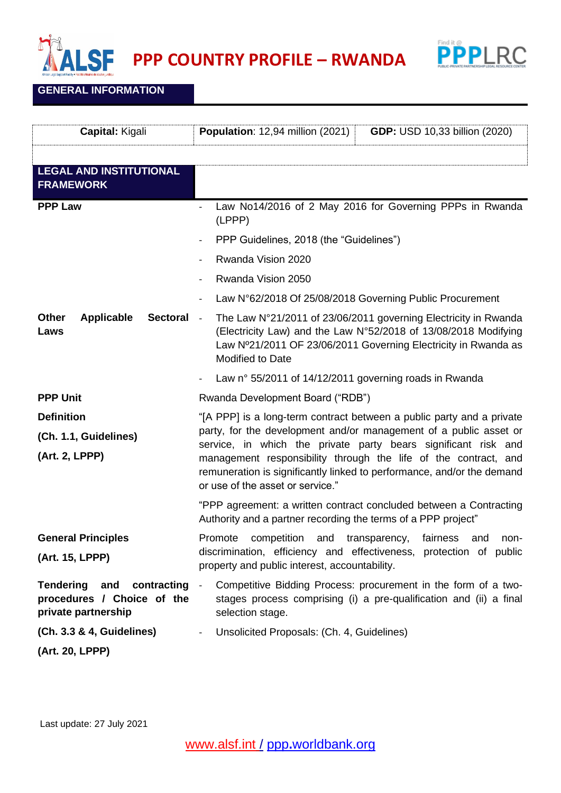

Find it @<br>**PPPPLRC** 

**GENERAL INFORMATION**

| Capital: Kigali                                                                | Population: 12,94 million (2021)<br><b>GDP: USD 10,33 billion (2020)</b>                                                                                                                                                                                                                                                                                                                      |
|--------------------------------------------------------------------------------|-----------------------------------------------------------------------------------------------------------------------------------------------------------------------------------------------------------------------------------------------------------------------------------------------------------------------------------------------------------------------------------------------|
|                                                                                |                                                                                                                                                                                                                                                                                                                                                                                               |
| <b>LEGAL AND INSTITUTIONAL</b><br><b>FRAMEWORK</b>                             |                                                                                                                                                                                                                                                                                                                                                                                               |
| <b>PPP Law</b>                                                                 | Law No14/2016 of 2 May 2016 for Governing PPPs in Rwanda<br>(LPPP)                                                                                                                                                                                                                                                                                                                            |
|                                                                                | PPP Guidelines, 2018 (the "Guidelines")                                                                                                                                                                                                                                                                                                                                                       |
|                                                                                | Rwanda Vision 2020                                                                                                                                                                                                                                                                                                                                                                            |
|                                                                                | Rwanda Vision 2050<br>$\overline{\phantom{a}}$                                                                                                                                                                                                                                                                                                                                                |
|                                                                                | Law N°62/2018 Of 25/08/2018 Governing Public Procurement                                                                                                                                                                                                                                                                                                                                      |
| Other<br><b>Applicable</b><br><b>Sectoral</b><br>Laws                          | The Law N°21/2011 of 23/06/2011 governing Electricity in Rwanda<br>$\blacksquare$<br>(Electricity Law) and the Law N°52/2018 of 13/08/2018 Modifying<br>Law Nº21/2011 OF 23/06/2011 Governing Electricity in Rwanda as<br><b>Modified to Date</b>                                                                                                                                             |
|                                                                                | Law n° 55/2011 of 14/12/2011 governing roads in Rwanda                                                                                                                                                                                                                                                                                                                                        |
| <b>PPP Unit</b>                                                                | Rwanda Development Board ("RDB")                                                                                                                                                                                                                                                                                                                                                              |
| <b>Definition</b><br>(Ch. 1.1, Guidelines)<br>(Art. 2, LPPP)                   | "[A PPP] is a long-term contract between a public party and a private<br>party, for the development and/or management of a public asset or<br>service, in which the private party bears significant risk and<br>management responsibility through the life of the contract, and<br>remuneration is significantly linked to performance, and/or the demand<br>or use of the asset or service." |
|                                                                                | "PPP agreement: a written contract concluded between a Contracting<br>Authority and a partner recording the terms of a PPP project"                                                                                                                                                                                                                                                           |
| <b>General Principles</b><br>(Art. 15, LPPP)                                   | Promote<br>competition<br>and transparency,<br>fairness and<br>non-<br>discrimination, efficiency and effectiveness, protection of public<br>property and public interest, accountability.                                                                                                                                                                                                    |
| Tendering and contracting<br>procedures / Choice of the<br>private partnership | Competitive Bidding Process: procurement in the form of a two-<br>$\overline{\phantom{a}}$<br>stages process comprising (i) a pre-qualification and (ii) a final<br>selection stage.                                                                                                                                                                                                          |
| (Ch. 3.3 & 4, Guidelines)                                                      | Unsolicited Proposals: (Ch. 4, Guidelines)                                                                                                                                                                                                                                                                                                                                                    |
| (Art. 20, LPPP)                                                                |                                                                                                                                                                                                                                                                                                                                                                                               |